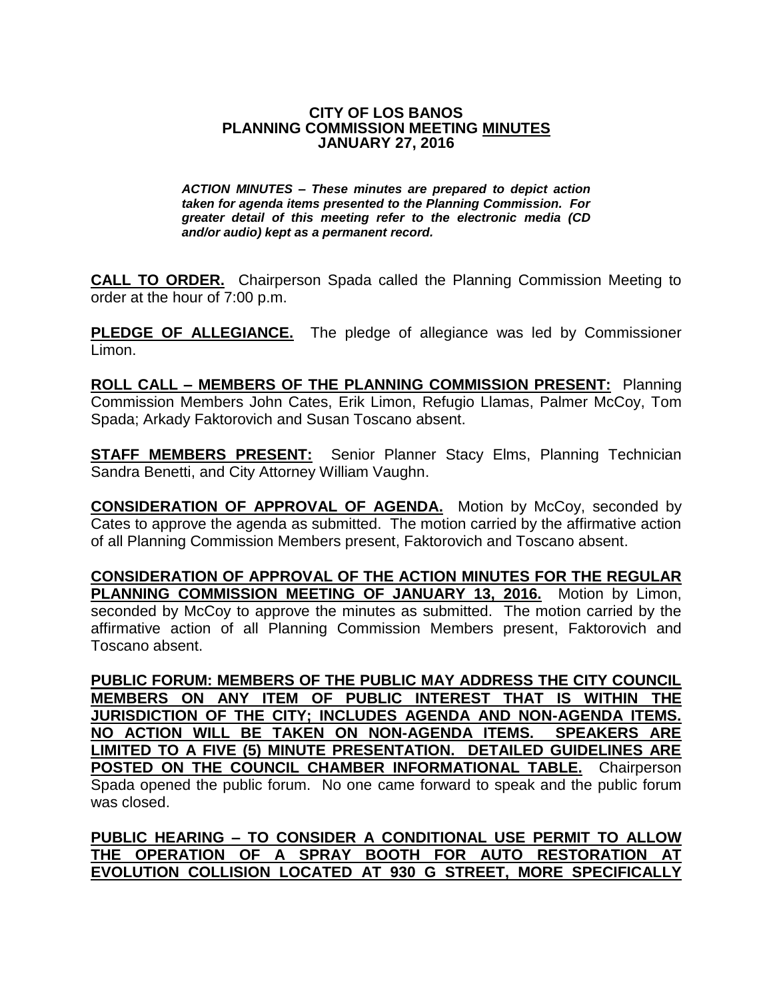## **CITY OF LOS BANOS PLANNING COMMISSION MEETING MINUTES JANUARY 27, 2016**

*ACTION MINUTES – These minutes are prepared to depict action taken for agenda items presented to the Planning Commission. For greater detail of this meeting refer to the electronic media (CD and/or audio) kept as a permanent record.*

**CALL TO ORDER.** Chairperson Spada called the Planning Commission Meeting to order at the hour of 7:00 p.m.

**PLEDGE OF ALLEGIANCE.** The pledge of allegiance was led by Commissioner Limon.

**ROLL CALL – MEMBERS OF THE PLANNING COMMISSION PRESENT:** Planning Commission Members John Cates, Erik Limon, Refugio Llamas, Palmer McCoy, Tom Spada; Arkady Faktorovich and Susan Toscano absent.

**STAFF MEMBERS PRESENT:** Senior Planner Stacy Elms, Planning Technician Sandra Benetti, and City Attorney William Vaughn.

**CONSIDERATION OF APPROVAL OF AGENDA.** Motion by McCoy, seconded by Cates to approve the agenda as submitted. The motion carried by the affirmative action of all Planning Commission Members present, Faktorovich and Toscano absent.

**CONSIDERATION OF APPROVAL OF THE ACTION MINUTES FOR THE REGULAR PLANNING COMMISSION MEETING OF JANUARY 13, 2016.** Motion by Limon, seconded by McCoy to approve the minutes as submitted. The motion carried by the affirmative action of all Planning Commission Members present, Faktorovich and Toscano absent.

**PUBLIC FORUM: MEMBERS OF THE PUBLIC MAY ADDRESS THE CITY COUNCIL MEMBERS ON ANY ITEM OF PUBLIC INTEREST THAT IS WITHIN THE JURISDICTION OF THE CITY; INCLUDES AGENDA AND NON-AGENDA ITEMS. NO ACTION WILL BE TAKEN ON NON-AGENDA ITEMS. SPEAKERS ARE LIMITED TO A FIVE (5) MINUTE PRESENTATION. DETAILED GUIDELINES ARE POSTED ON THE COUNCIL CHAMBER INFORMATIONAL TABLE.** Chairperson Spada opened the public forum. No one came forward to speak and the public forum was closed.

**PUBLIC HEARING – TO CONSIDER A CONDITIONAL USE PERMIT TO ALLOW THE OPERATION OF A SPRAY BOOTH FOR AUTO RESTORATION AT EVOLUTION COLLISION LOCATED AT 930 G STREET, MORE SPECIFICALLY**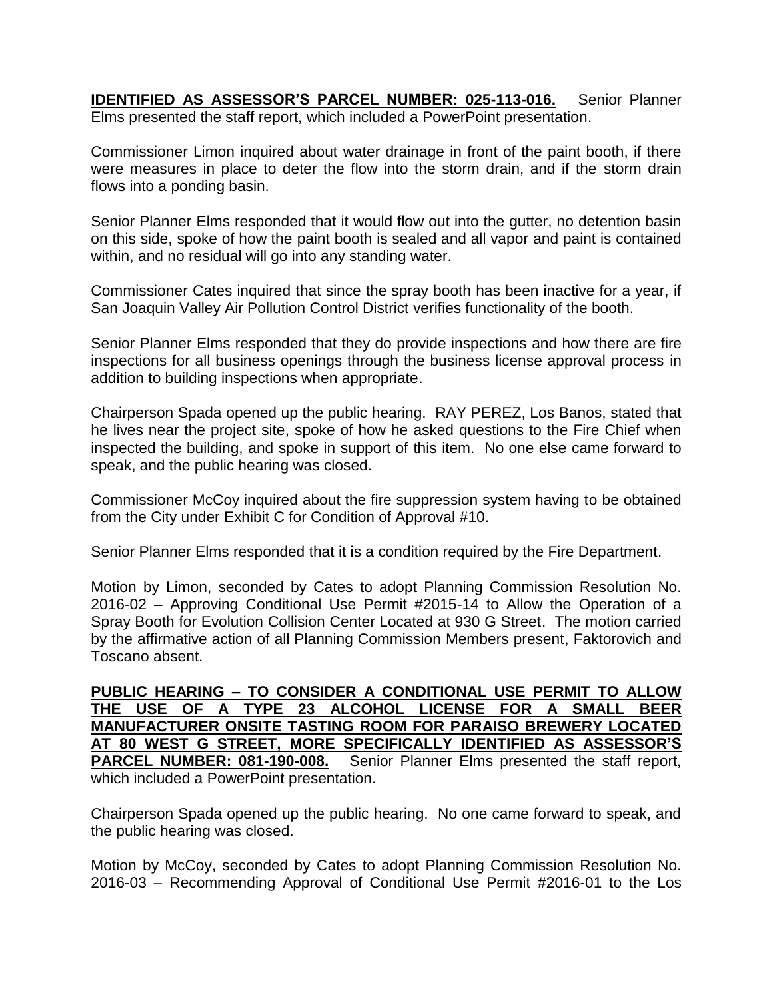**IDENTIFIED AS ASSESSOR'S PARCEL NUMBER: 025-113-016.** Senior Planner Elms presented the staff report, which included a PowerPoint presentation.

Commissioner Limon inquired about water drainage in front of the paint booth, if there were measures in place to deter the flow into the storm drain, and if the storm drain flows into a ponding basin.

Senior Planner Elms responded that it would flow out into the gutter, no detention basin on this side, spoke of how the paint booth is sealed and all vapor and paint is contained within, and no residual will go into any standing water.

Commissioner Cates inquired that since the spray booth has been inactive for a year, if San Joaquin Valley Air Pollution Control District verifies functionality of the booth.

Senior Planner Elms responded that they do provide inspections and how there are fire inspections for all business openings through the business license approval process in addition to building inspections when appropriate.

Chairperson Spada opened up the public hearing. RAY PEREZ, Los Banos, stated that he lives near the project site, spoke of how he asked questions to the Fire Chief when inspected the building, and spoke in support of this item. No one else came forward to speak, and the public hearing was closed.

Commissioner McCoy inquired about the fire suppression system having to be obtained from the City under Exhibit C for Condition of Approval #10.

Senior Planner Elms responded that it is a condition required by the Fire Department.

Motion by Limon, seconded by Cates to adopt Planning Commission Resolution No. 2016-02 – Approving Conditional Use Permit #2015-14 to Allow the Operation of a Spray Booth for Evolution Collision Center Located at 930 G Street. The motion carried by the affirmative action of all Planning Commission Members present, Faktorovich and Toscano absent.

**PUBLIC HEARING – TO CONSIDER A CONDITIONAL USE PERMIT TO ALLOW THE USE OF A TYPE 23 ALCOHOL LICENSE FOR A SMALL BEER MANUFACTURER ONSITE TASTING ROOM FOR PARAISO BREWERY LOCATED AT 80 WEST G STREET, MORE SPECIFICALLY IDENTIFIED AS ASSESSOR'S**  PARCEL NUMBER: 081-190-008. Senior Planner Elms presented the staff report, which included a PowerPoint presentation.

Chairperson Spada opened up the public hearing. No one came forward to speak, and the public hearing was closed.

Motion by McCoy, seconded by Cates to adopt Planning Commission Resolution No. 2016-03 – Recommending Approval of Conditional Use Permit #2016-01 to the Los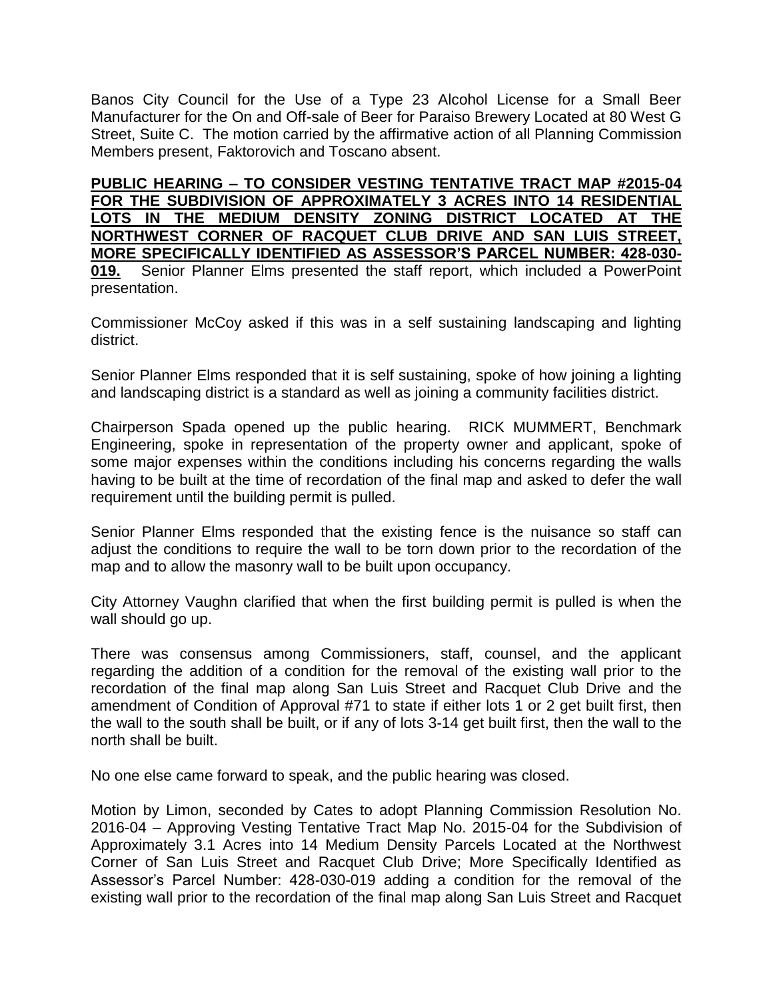Banos City Council for the Use of a Type 23 Alcohol License for a Small Beer Manufacturer for the On and Off-sale of Beer for Paraiso Brewery Located at 80 West G Street, Suite C. The motion carried by the affirmative action of all Planning Commission Members present, Faktorovich and Toscano absent.

**PUBLIC HEARING – TO CONSIDER VESTING TENTATIVE TRACT MAP #2015-04 FOR THE SUBDIVISION OF APPROXIMATELY 3 ACRES INTO 14 RESIDENTIAL LOTS IN THE MEDIUM DENSITY ZONING DISTRICT LOCATED AT THE NORTHWEST CORNER OF RACQUET CLUB DRIVE AND SAN LUIS STREET, MORE SPECIFICALLY IDENTIFIED AS ASSESSOR'S PARCEL NUMBER: 428-030-**

**019.** Senior Planner Elms presented the staff report, which included a PowerPoint presentation.

Commissioner McCoy asked if this was in a self sustaining landscaping and lighting district.

Senior Planner Elms responded that it is self sustaining, spoke of how joining a lighting and landscaping district is a standard as well as joining a community facilities district.

Chairperson Spada opened up the public hearing. RICK MUMMERT, Benchmark Engineering, spoke in representation of the property owner and applicant, spoke of some major expenses within the conditions including his concerns regarding the walls having to be built at the time of recordation of the final map and asked to defer the wall requirement until the building permit is pulled.

Senior Planner Elms responded that the existing fence is the nuisance so staff can adjust the conditions to require the wall to be torn down prior to the recordation of the map and to allow the masonry wall to be built upon occupancy.

City Attorney Vaughn clarified that when the first building permit is pulled is when the wall should go up.

There was consensus among Commissioners, staff, counsel, and the applicant regarding the addition of a condition for the removal of the existing wall prior to the recordation of the final map along San Luis Street and Racquet Club Drive and the amendment of Condition of Approval #71 to state if either lots 1 or 2 get built first, then the wall to the south shall be built, or if any of lots 3-14 get built first, then the wall to the north shall be built.

No one else came forward to speak, and the public hearing was closed.

Motion by Limon, seconded by Cates to adopt Planning Commission Resolution No. 2016-04 – Approving Vesting Tentative Tract Map No. 2015-04 for the Subdivision of Approximately 3.1 Acres into 14 Medium Density Parcels Located at the Northwest Corner of San Luis Street and Racquet Club Drive; More Specifically Identified as Assessor's Parcel Number: 428-030-019 adding a condition for the removal of the existing wall prior to the recordation of the final map along San Luis Street and Racquet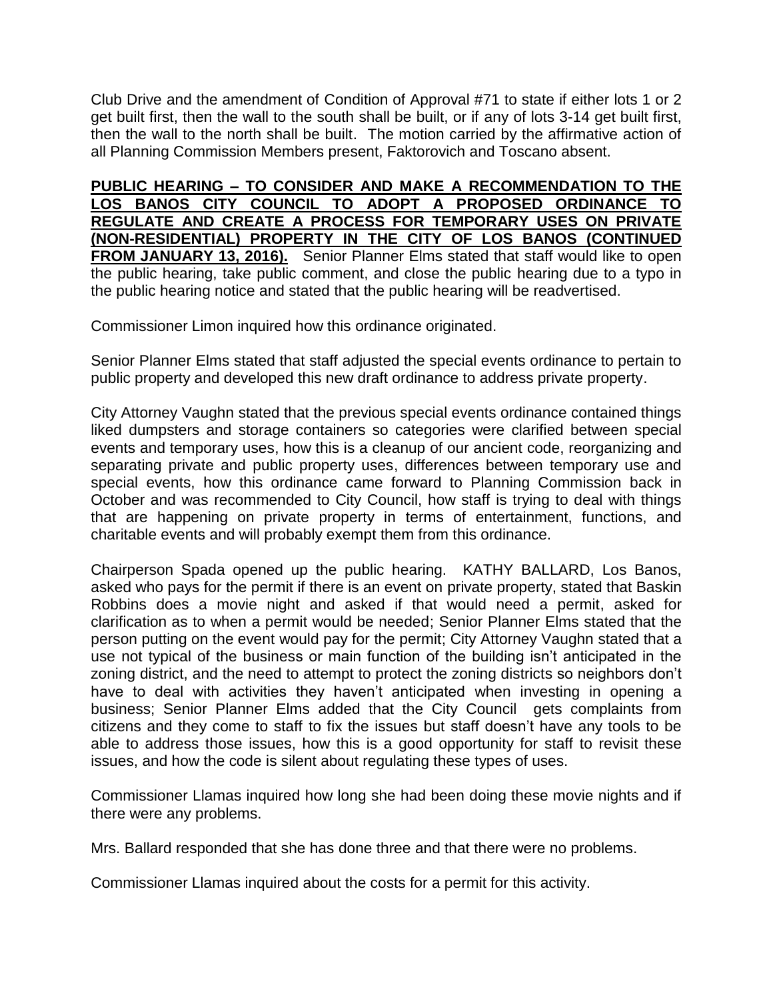Club Drive and the amendment of Condition of Approval #71 to state if either lots 1 or 2 get built first, then the wall to the south shall be built, or if any of lots 3-14 get built first, then the wall to the north shall be built. The motion carried by the affirmative action of all Planning Commission Members present, Faktorovich and Toscano absent.

**PUBLIC HEARING – TO CONSIDER AND MAKE A RECOMMENDATION TO THE LOS BANOS CITY COUNCIL TO ADOPT A PROPOSED ORDINANCE TO REGULATE AND CREATE A PROCESS FOR TEMPORARY USES ON PRIVATE (NON-RESIDENTIAL) PROPERTY IN THE CITY OF LOS BANOS (CONTINUED FROM JANUARY 13, 2016).** Senior Planner Elms stated that staff would like to open the public hearing, take public comment, and close the public hearing due to a typo in the public hearing notice and stated that the public hearing will be readvertised.

Commissioner Limon inquired how this ordinance originated.

Senior Planner Elms stated that staff adjusted the special events ordinance to pertain to public property and developed this new draft ordinance to address private property.

City Attorney Vaughn stated that the previous special events ordinance contained things liked dumpsters and storage containers so categories were clarified between special events and temporary uses, how this is a cleanup of our ancient code, reorganizing and separating private and public property uses, differences between temporary use and special events, how this ordinance came forward to Planning Commission back in October and was recommended to City Council, how staff is trying to deal with things that are happening on private property in terms of entertainment, functions, and charitable events and will probably exempt them from this ordinance.

Chairperson Spada opened up the public hearing. KATHY BALLARD, Los Banos, asked who pays for the permit if there is an event on private property, stated that Baskin Robbins does a movie night and asked if that would need a permit, asked for clarification as to when a permit would be needed; Senior Planner Elms stated that the person putting on the event would pay for the permit; City Attorney Vaughn stated that a use not typical of the business or main function of the building isn't anticipated in the zoning district, and the need to attempt to protect the zoning districts so neighbors don't have to deal with activities they haven't anticipated when investing in opening a business; Senior Planner Elms added that the City Council gets complaints from citizens and they come to staff to fix the issues but staff doesn't have any tools to be able to address those issues, how this is a good opportunity for staff to revisit these issues, and how the code is silent about regulating these types of uses.

Commissioner Llamas inquired how long she had been doing these movie nights and if there were any problems.

Mrs. Ballard responded that she has done three and that there were no problems.

Commissioner Llamas inquired about the costs for a permit for this activity.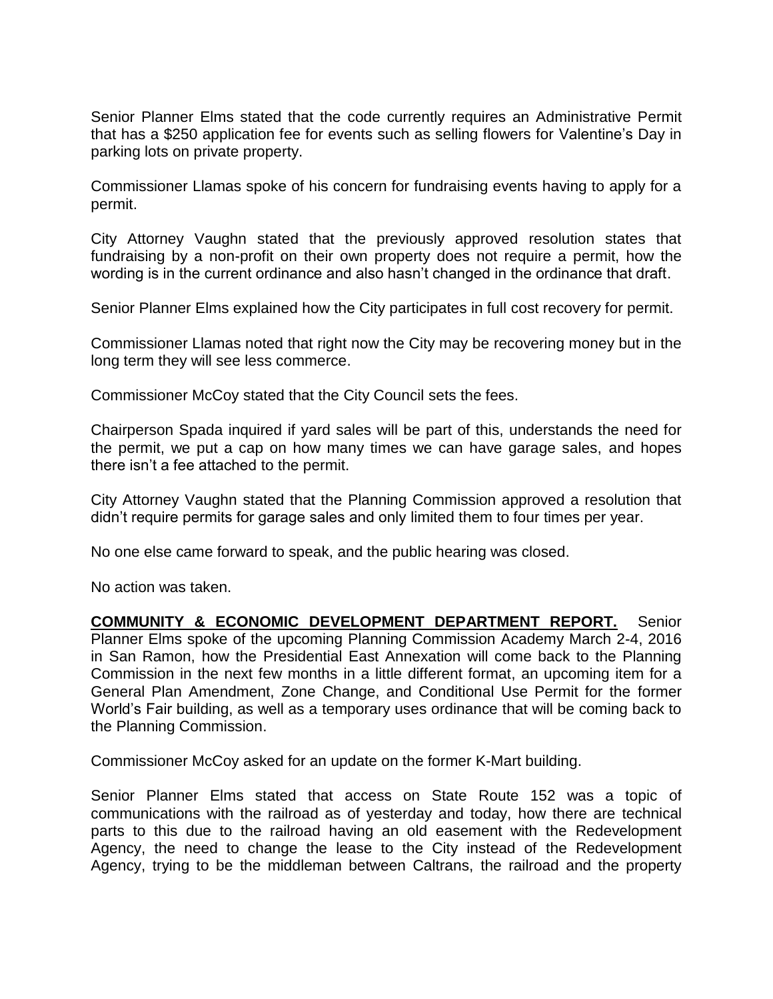Senior Planner Elms stated that the code currently requires an Administrative Permit that has a \$250 application fee for events such as selling flowers for Valentine's Day in parking lots on private property.

Commissioner Llamas spoke of his concern for fundraising events having to apply for a permit.

City Attorney Vaughn stated that the previously approved resolution states that fundraising by a non-profit on their own property does not require a permit, how the wording is in the current ordinance and also hasn't changed in the ordinance that draft.

Senior Planner Elms explained how the City participates in full cost recovery for permit.

Commissioner Llamas noted that right now the City may be recovering money but in the long term they will see less commerce.

Commissioner McCoy stated that the City Council sets the fees.

Chairperson Spada inquired if yard sales will be part of this, understands the need for the permit, we put a cap on how many times we can have garage sales, and hopes there isn't a fee attached to the permit.

City Attorney Vaughn stated that the Planning Commission approved a resolution that didn't require permits for garage sales and only limited them to four times per year.

No one else came forward to speak, and the public hearing was closed.

No action was taken.

**COMMUNITY & ECONOMIC DEVELOPMENT DEPARTMENT REPORT.** Senior Planner Elms spoke of the upcoming Planning Commission Academy March 2-4, 2016 in San Ramon, how the Presidential East Annexation will come back to the Planning Commission in the next few months in a little different format, an upcoming item for a General Plan Amendment, Zone Change, and Conditional Use Permit for the former World's Fair building, as well as a temporary uses ordinance that will be coming back to the Planning Commission.

Commissioner McCoy asked for an update on the former K-Mart building.

Senior Planner Elms stated that access on State Route 152 was a topic of communications with the railroad as of yesterday and today, how there are technical parts to this due to the railroad having an old easement with the Redevelopment Agency, the need to change the lease to the City instead of the Redevelopment Agency, trying to be the middleman between Caltrans, the railroad and the property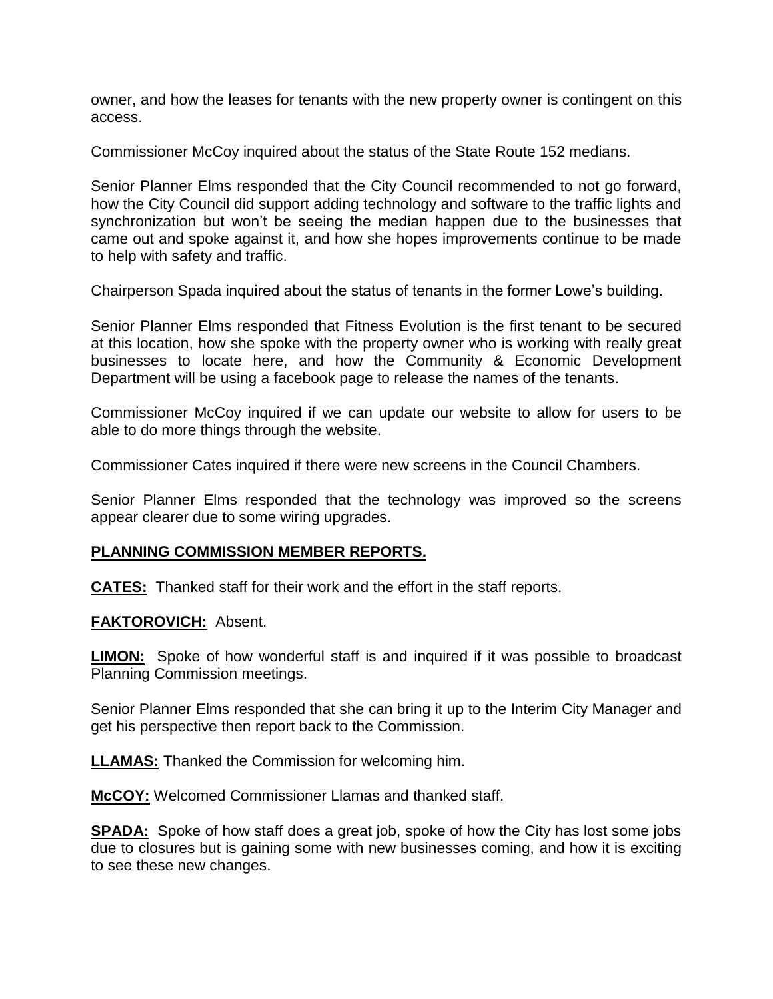owner, and how the leases for tenants with the new property owner is contingent on this access.

Commissioner McCoy inquired about the status of the State Route 152 medians.

Senior Planner Elms responded that the City Council recommended to not go forward, how the City Council did support adding technology and software to the traffic lights and synchronization but won't be seeing the median happen due to the businesses that came out and spoke against it, and how she hopes improvements continue to be made to help with safety and traffic.

Chairperson Spada inquired about the status of tenants in the former Lowe's building.

Senior Planner Elms responded that Fitness Evolution is the first tenant to be secured at this location, how she spoke with the property owner who is working with really great businesses to locate here, and how the Community & Economic Development Department will be using a facebook page to release the names of the tenants.

Commissioner McCoy inquired if we can update our website to allow for users to be able to do more things through the website.

Commissioner Cates inquired if there were new screens in the Council Chambers.

Senior Planner Elms responded that the technology was improved so the screens appear clearer due to some wiring upgrades.

## **PLANNING COMMISSION MEMBER REPORTS.**

**CATES:** Thanked staff for their work and the effort in the staff reports.

**FAKTOROVICH:** Absent.

**LIMON:** Spoke of how wonderful staff is and inquired if it was possible to broadcast Planning Commission meetings.

Senior Planner Elms responded that she can bring it up to the Interim City Manager and get his perspective then report back to the Commission.

**LLAMAS:** Thanked the Commission for welcoming him.

**McCOY:** Welcomed Commissioner Llamas and thanked staff.

**SPADA:** Spoke of how staff does a great job, spoke of how the City has lost some jobs due to closures but is gaining some with new businesses coming, and how it is exciting to see these new changes.